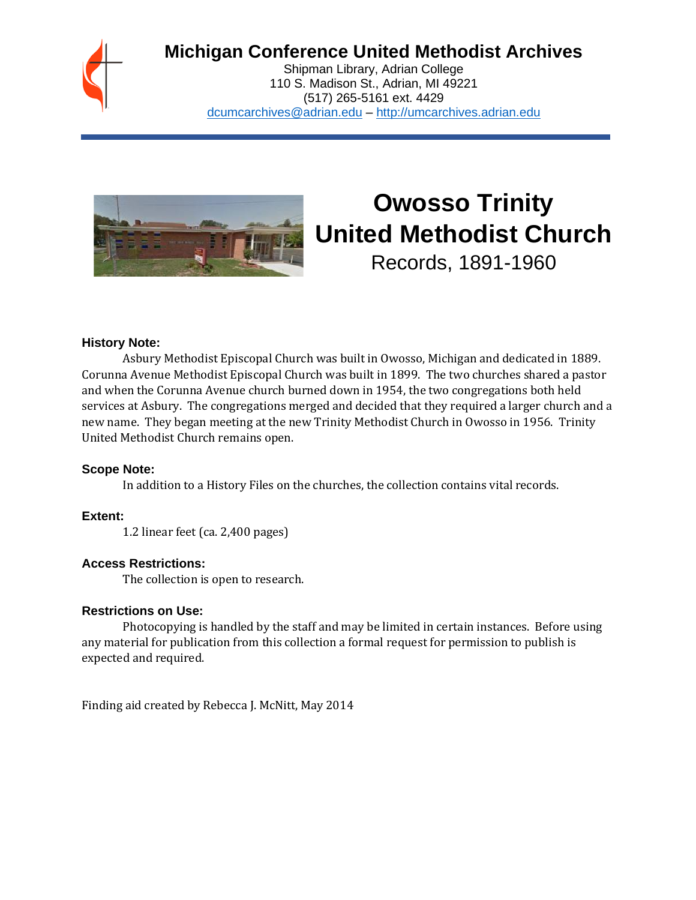

# **Michigan Conference United Methodist Archives**

Shipman Library, Adrian College 110 S. Madison St., Adrian, MI 49221 (517) 265-5161 ext. 4429 [dcumcarchives@adrian.edu](mailto:dcumcarchives@adrian.edu) – [http://umcarchives.adrian.edu](http://umcarchives.adrian.edu/)



# **Owosso Trinity United Methodist Church**

Records, 1891-1960

#### **History Note:**

Asbury Methodist Episcopal Church was built in Owosso, Michigan and dedicated in 1889. Corunna Avenue Methodist Episcopal Church was built in 1899. The two churches shared a pastor and when the Corunna Avenue church burned down in 1954, the two congregations both held services at Asbury. The congregations merged and decided that they required a larger church and a new name. They began meeting at the new Trinity Methodist Church in Owosso in 1956. Trinity United Methodist Church remains open.

#### **Scope Note:**

In addition to a History Files on the churches, the collection contains vital records.

#### **Extent:**

1.2 linear feet (ca. 2,400 pages)

#### **Access Restrictions:**

The collection is open to research.

#### **Restrictions on Use:**

Photocopying is handled by the staff and may be limited in certain instances. Before using any material for publication from this collection a formal request for permission to publish is expected and required.

Finding aid created by Rebecca J. McNitt, May 2014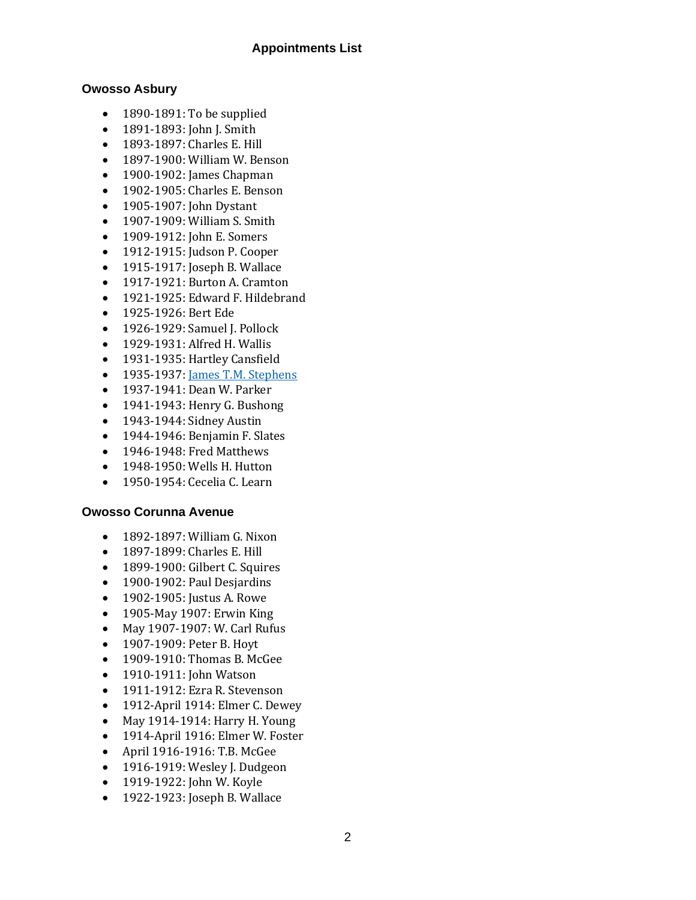#### **Appointments List**

#### **Owosso Asbury**

- 1890-1891: To be supplied
- 1891-1893: John J. Smith
- 1893-1897: Charles E. Hill
- 1897-1900: William W. Benson
- 1900-1902: James Chapman
- 1902-1905: Charles E. Benson
- 1905-1907: John Dystant
- 1907-1909: William S. Smith
- 1909-1912: John E. Somers
- 1912-1915: Judson P. Cooper
- 1915-1917: Joseph B. Wallace
- 1917-1921: Burton A. Cramton
- 1921-1925: Edward F. Hildebrand
- 1925-1926: Bert Ede
- 1926-1929: Samuel J. Pollock
- 1929-1931: Alfred H. Wallis
- 1931-1935: Hartley Cansfield
- 1935-1937[: James T.M. Stephens](http://umcarchives.adrian.edu/clergy/stephensjtm.php)
- 1937-1941: Dean W. Parker
- 1941-1943: Henry G. Bushong
- 1943-1944: Sidney Austin
- 1944-1946: Benjamin F. Slates
- 1946-1948: Fred Matthews
- 1948-1950: Wells H. Hutton
- 1950-1954: Cecelia C. Learn

#### **Owosso Corunna Avenue**

- 1892-1897: William G. Nixon
- 1897-1899: Charles E. Hill
- 1899-1900: Gilbert C. Squires
- 1900-1902: Paul Desjardins
- 1902-1905: Justus A. Rowe
- 1905-May 1907: Erwin King
- May 1907-1907: W. Carl Rufus
- 1907-1909: Peter B. Hoyt
- 1909-1910: Thomas B. McGee
- 1910-1911: John Watson
- 1911-1912: Ezra R. Stevenson
- 1912-April 1914: Elmer C. Dewey
- May 1914-1914: Harry H. Young
- 1914-April 1916: Elmer W. Foster
- April 1916-1916: T.B. McGee
- 1916-1919: Wesley J. Dudgeon
- 1919-1922: John W. Koyle
- 1922-1923: Joseph B. Wallace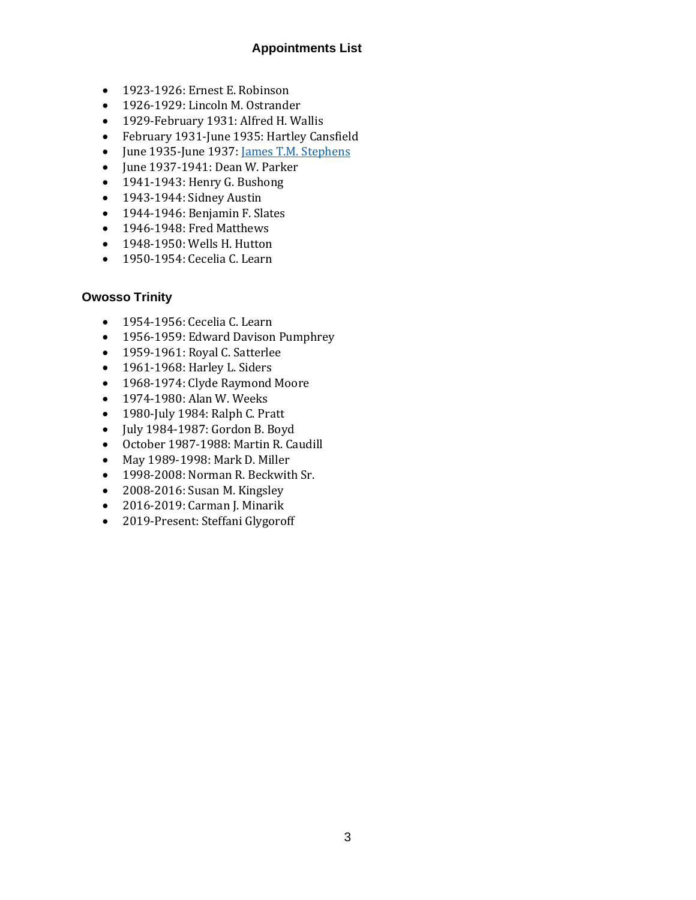## **Appointments List**

- 1923-1926: Ernest E. Robinson
- 1926-1929: Lincoln M. Ostrander
- 1929-February 1931: Alfred H. Wallis
- February 1931-June 1935: Hartley Cansfield
- June 1935-June 1937[: James T.M. Stephens](http://umcarchives.adrian.edu/clergy/stephensjtm.php)
- June 1937-1941: Dean W. Parker
- 1941-1943: Henry G. Bushong
- 1943-1944: Sidney Austin
- 1944-1946: Benjamin F. Slates
- 1946-1948: Fred Matthews
- 1948-1950: Wells H. Hutton
- 1950-1954: Cecelia C. Learn

#### **Owosso Trinity**

- 1954-1956: Cecelia C. Learn
- 1956-1959: Edward Davison Pumphrey
- 1959-1961: Royal C. Satterlee
- 1961-1968: Harley L. Siders
- 1968-1974: Clyde Raymond Moore
- 1974-1980: Alan W. Weeks
- 1980-July 1984: Ralph C. Pratt
- July 1984-1987: Gordon B. Boyd
- October 1987-1988: Martin R. Caudill
- May 1989-1998: Mark D. Miller
- 1998-2008: Norman R. Beckwith Sr.
- 2008-2016: Susan M. Kingsley
- 2016-2019: Carman J. Minarik
- 2019-Present: Steffani Glygoroff